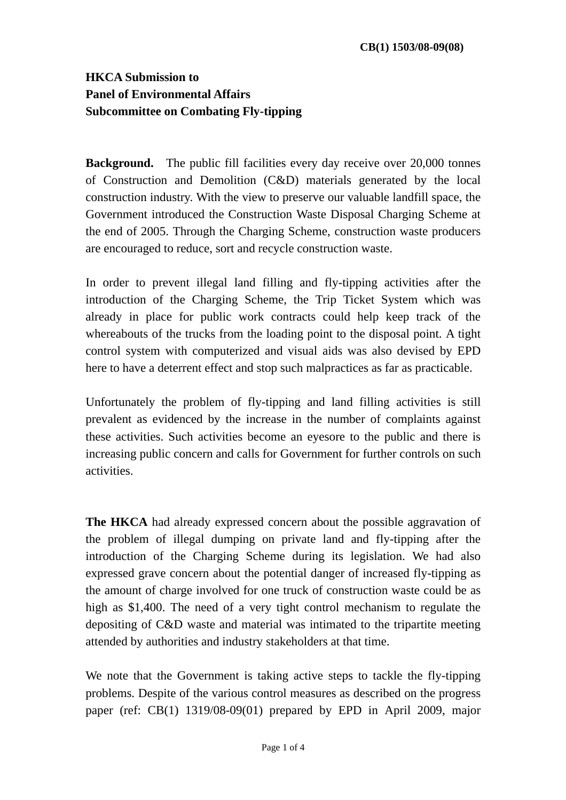## **HKCA Submission to Panel of Environmental Affairs Subcommittee on Combating Fly-tipping**

**Background.** The public fill facilities every day receive over 20,000 tonnes of Construction and Demolition (C&D) materials generated by the local construction industry. With the view to preserve our valuable landfill space, the Government introduced the Construction Waste Disposal Charging Scheme at the end of 2005. Through the Charging Scheme, construction waste producers are encouraged to reduce, sort and recycle construction waste.

In order to prevent illegal land filling and fly-tipping activities after the introduction of the Charging Scheme, the Trip Ticket System which was already in place for public work contracts could help keep track of the whereabouts of the trucks from the loading point to the disposal point. A tight control system with computerized and visual aids was also devised by EPD here to have a deterrent effect and stop such malpractices as far as practicable.

Unfortunately the problem of fly-tipping and land filling activities is still prevalent as evidenced by the increase in the number of complaints against these activities. Such activities become an eyesore to the public and there is increasing public concern and calls for Government for further controls on such activities.

**The HKCA** had already expressed concern about the possible aggravation of the problem of illegal dumping on private land and fly-tipping after the introduction of the Charging Scheme during its legislation. We had also expressed grave concern about the potential danger of increased fly-tipping as the amount of charge involved for one truck of construction waste could be as high as \$1,400. The need of a very tight control mechanism to regulate the depositing of C&D waste and material was intimated to the tripartite meeting attended by authorities and industry stakeholders at that time.

We note that the Government is taking active steps to tackle the fly-tipping problems. Despite of the various control measures as described on the progress paper (ref: CB(1) 1319/08-09(01) prepared by EPD in April 2009, major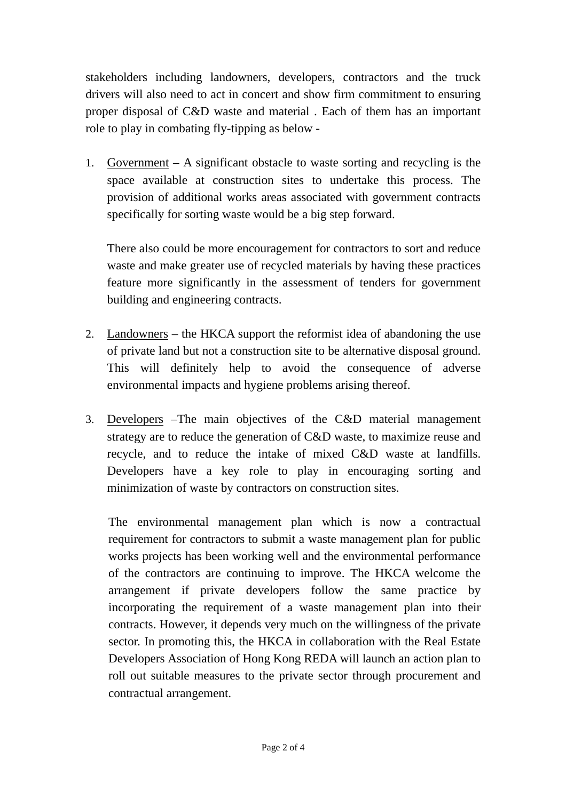stakeholders including landowners, developers, contractors and the truck drivers will also need to act in concert and show firm commitment to ensuring proper disposal of C&D waste and material . Each of them has an important role to play in combating fly-tipping as below -

1. Government – A significant obstacle to waste sorting and recycling is the space available at construction sites to undertake this process. The provision of additional works areas associated with government contracts specifically for sorting waste would be a big step forward.

There also could be more encouragement for contractors to sort and reduce waste and make greater use of recycled materials by having these practices feature more significantly in the assessment of tenders for government building and engineering contracts.

- 2. Landowners the HKCA support the reformist idea of abandoning the use of private land but not a construction site to be alternative disposal ground. This will definitely help to avoid the consequence of adverse environmental impacts and hygiene problems arising thereof.
- 3. Developers –The main objectives of the C&D material management strategy are to reduce the generation of C&D waste, to maximize reuse and recycle, and to reduce the intake of mixed C&D waste at landfills. Developers have a key role to play in encouraging sorting and minimization of waste by contractors on construction sites.

The environmental management plan which is now a contractual requirement for contractors to submit a waste management plan for public works projects has been working well and the environmental performance of the contractors are continuing to improve. The HKCA welcome the arrangement if private developers follow the same practice by incorporating the requirement of a waste management plan into their contracts. However, it depends very much on the willingness of the private sector. In promoting this, the HKCA in collaboration with the Real Estate Developers Association of Hong Kong REDA will launch an action plan to roll out suitable measures to the private sector through procurement and contractual arrangement.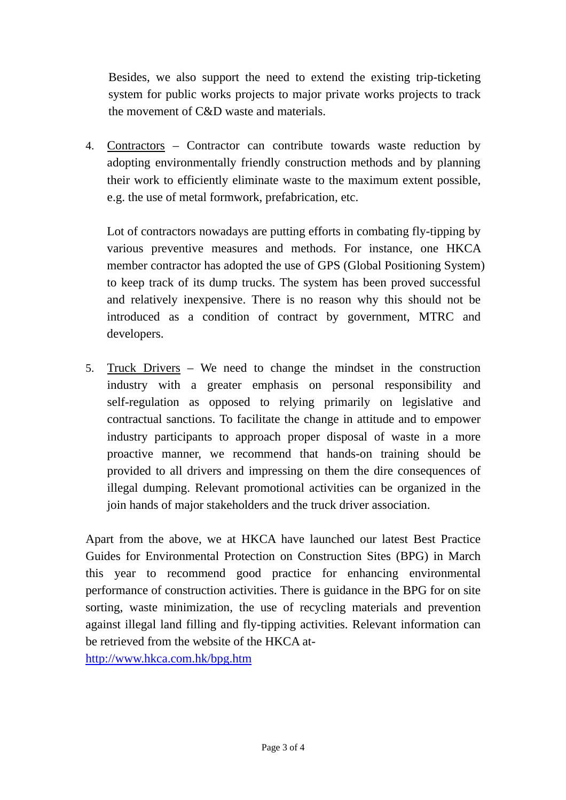Besides, we also support the need to extend the existing trip-ticketing system for public works projects to major private works projects to track the movement of C&D waste and materials.

4. Contractors – Contractor can contribute towards waste reduction by adopting environmentally friendly construction methods and by planning their work to efficiently eliminate waste to the maximum extent possible, e.g. the use of metal formwork, prefabrication, etc.

Lot of contractors nowadays are putting efforts in combating fly-tipping by various preventive measures and methods. For instance, one HKCA member contractor has adopted the use of GPS (Global Positioning System) to keep track of its dump trucks. The system has been proved successful and relatively inexpensive. There is no reason why this should not be introduced as a condition of contract by government, MTRC and developers.

5. Truck Drivers – We need to change the mindset in the construction industry with a greater emphasis on personal responsibility and self-regulation as opposed to relying primarily on legislative and contractual sanctions. To facilitate the change in attitude and to empower industry participants to approach proper disposal of waste in a more proactive manner, we recommend that hands-on training should be provided to all drivers and impressing on them the dire consequences of illegal dumping. Relevant promotional activities can be organized in the join hands of major stakeholders and the truck driver association.

Apart from the above, we at HKCA have launched our latest Best Practice Guides for Environmental Protection on Construction Sites (BPG) in March this year to recommend good practice for enhancing environmental performance of construction activities. There is guidance in the BPG for on site sorting, waste minimization, the use of recycling materials and prevention against illegal land filling and fly-tipping activities. Relevant information can be retrieved from the website of the HKCA at-

http://www.hkca.com.hk/bpg.htm